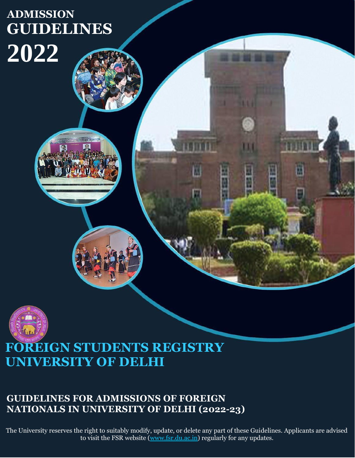# **ADMISSION GUIDELINES 2022**





# **FOREIGN STUDENTS REGISTRY UNIVERSITY OF DELHI**

# **GUIDELINES FOR ADMISSIONS OF FOREIGN NATIONALS IN UNIVERSITY OF DELHI (2022-23)**

The University reserves the right to suitably modify, update, or delete any part of these Guidelines. Applicants are advised to visit the FSR website [\(www.fsr.du.ac.in\)](http://www.fsr.du.ac.in/) regularly for any updates.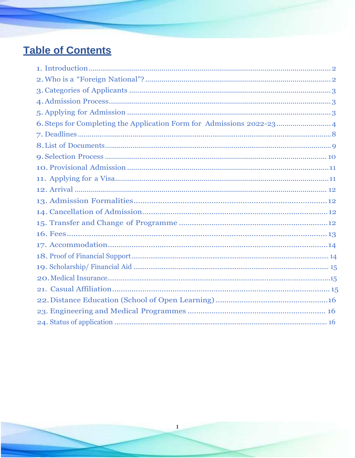# **Table of Contents**

 $\mathbf{1}$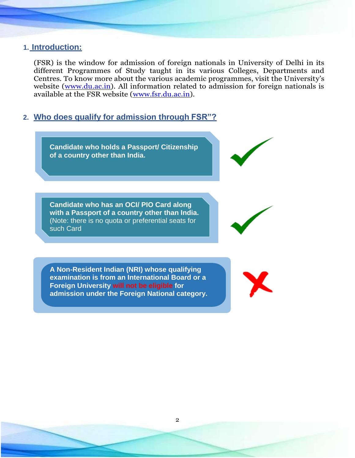## <span id="page-2-0"></span>**1. Introduction:**

(FSR) is the window for admission of foreign nationals in University of Delhi in its different [Programmes of Study](http://fsr.du.ac.in/programme.html) taught in its various Colleges, Departments and Centres. To know more about the various academic programmes, visit the University's website [\(www.du.ac.in\)](http://www.du.ac.in/). All information related to admission for foreign nationals is available at the FSR website [\(www.fsr.du.ac.in\)](http://www.fsr.du.ac.in/).

## <span id="page-2-1"></span>**2. Who does qualify for admission through FSR"?**

**Candidate who holds a Passport/ Citizenship of a country other than India. Candidate who has an OCI/ PIO Card along with a Passport of a country other than India.**  (Note: there is no quota or preferential seats for such Card

**A Non-Resident Indian (NRI) whose qualifying examination is from an International Board or a Foreign University will not be eligible for admission under the Foreign National category.**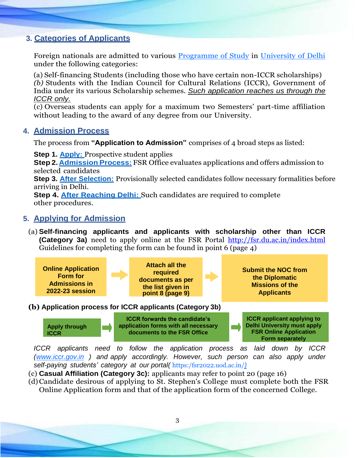# <span id="page-3-0"></span>**3. Categories of Applicants**

Foreign nationals are admitted to various [Programme of Study](http://www.fsr.du.ac.in/programme.html) in [University of Delhi](http://www.du.ac.in/du/) under the following categories:

(a) Self-financing Students (including those who have certain non-ICCR scholarships) *(b)* Students with the Indian Council for Cultural Relations (ICCR), Government of India under its various Scholarship schemes. *Such application reaches us through the ICCR only.*

(c) Overseas students can apply for a maximum two Semesters' part-time affiliation without leading to the award of any degree from our University.

## <span id="page-3-1"></span>**4. Admission Process**

The process from **"Application to Admission"** comprises of 4 broad steps as listed:

**Step 1. [Apply:](http://fsr.du.ac.in/pdf/10022020_Admission%20Procedure%202020-21.pdf)** Prospective student applies

**Step 2. [Admission](http://fsr.du.ac.in/pdf/10022020_Admission%20Procedure%202020-21.pdf) Process:** FSR Office evaluates applications and offers admission to selected candidates

**Step 3. [After Selection:](http://fsr.du.ac.in/pdf/10022020_Admission%20Procedure%202020-21.pdf)** Provisionally selected candidates follow necessary formalities before arriving in Delhi.

**Step 4. [After Reaching Delhi:](http://fsr.du.ac.in/pdf/10022020_Admission%20Procedure%202020-21.pdf)** Such candidates are required to complete other procedures.

# <span id="page-3-2"></span>**5. Applying for Admission**

(a) **Self-financing applicants and applicants with scholarship other than ICCR (Category 3a)** need to apply online at the FSR Portal <http://fsr.du.ac.in/index.html> Guidelines for completing the form can be found in point 6 (page 4)



**(b) Application process for ICCR applicants (Category 3b)**



*ICCR applicants need to follow the application process as laid down by ICCR [\(www.iccr.gov.in](http://www.iccr.gov.in/) ) and apply accordingly. However, such person can also apply under self-paying students' category at our portal(* [https:/fsr2022.uod.ac.in/](https://fsr2022.uod.ac.in/)*)*

- (c) **Casual Affiliation (Category 3c):** applicants may refer to point 20 (page 16)
- (d)Candidate desirous of applying to St. Stephen's College must complete both the FSR Online Application form and that of the application form of the concerned College.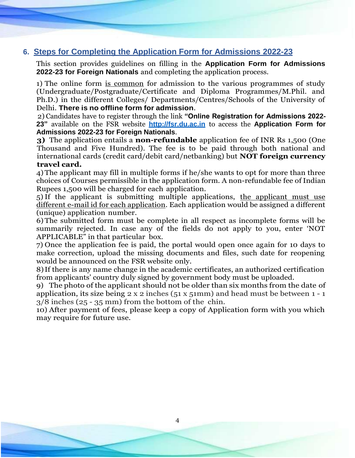# <span id="page-4-0"></span>**6. Steps for Completing the Application Form for Admissions 2022-23**

This section provides guidelines on filling in the **Application Form for Admissions 2022-23 for Foreign Nationals** and completing the application process.

1) The online form is common for admission to the various programmes of study (Undergraduate/Postgraduate/Certificate and Diploma Programmes/M.Phil. and Ph.D.) in the different Colleges/ Departments/Centres/Schools of the University of Delhi. **There is no offline form for admission**.

2) Candidates have to register through the link **"Online Registration for Admissions 2022- 23"** available on the FSR website **[http://fsr.du.ac.in](http://fsr.du.ac.in/)** to access the **Application Form for Admissions 2022-23 for Foreign Nationals**.

**3)** The application entails a **non-refundable** application fee of INR Rs 1,500 (One Thousand and Five Hundred). The fee is to be paid through both national and international cards (credit card/debit card/netbanking) but **NOT foreign currency travel card.**

4) The applicant may fill in multiple forms if he/she wants to opt for more than three choices of Courses permissible in the application form. A non-refundable fee of Indian Rupees 1,500 will be charged for each application.

5)If the applicant is submitting multiple applications, the applicant must use different e-mail id for each application. Each application would be assigned a different (unique) application number.

6) The submitted form must be complete in all respect as incomplete forms will be summarily rejected. In case any of the fields do not apply to you, enter 'NOT APPLICABLE" in that particular box.

7) Once the application fee is paid, the portal would open once again for 10 days to make correction, upload the missing documents and files, such date for reopening would be announced on the FSR website only.

8)If there is any name change in the academic certificates, an authorized certification from applicants' country duly signed by government body must be uploaded.

9) The photo of the applicant should not be older than six months from the date of application, its size being  $2 \times 2$  inches ( $51 \times 51$ mm) and head must be between  $1 - 1$ 3/8 inches (25 - 35 mm) from the bottom of the chin.

10) After payment of fees, please keep a copy of Application form with you which may require for future use.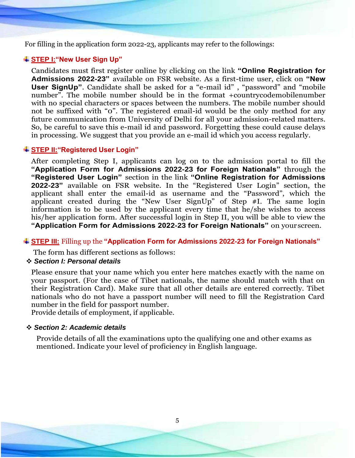For filling in the application form 2022-23, applicants may refer to the followings:

#### **STEP I:"New User Sign Up"**

Candidates must first register online by clicking on the link **"Online Registration for Admissions 2022-23"** available on FSR website. As a first-time user, click on **"New User SignUp"**. Candidate shall be asked for a "e-mail id" , "password" and "mobile number". The mobile number should be in the format +countrycodemobilenumber with no special characters or spaces between the numbers. The mobile number should not be suffixed with "0". The registered email-id would be the only method for any future communication from University of Delhi for all your admission-related matters. So, be careful to save this e-mail id and password. Forgetting these could cause delays in processing. We suggest that you provide an e-mail id which you access regularly.

#### **STEP II:"Registered User Login"**

After completing Step I, applicants can log on to the admission portal to fill the **"Application Form for Admissions 2022-23 for Foreign Nationals"** through the **"Registered User Login"** section in the link **"Online Registration for Admissions 2022-23"** available on FSR website. In the "Registered User Login" section, the applicant shall enter the email-id as username and the "Password", which the applicant created during the "New User SignUp" of Step #I. The same login information is to be used by the applicant every time that he/she wishes to access his/her application form. After successful login in Step II, you will be able to view the **"Application Form for Admissions 2022-23 for Foreign Nationals"** on your screen.

**STEP III:** Filling up the **"Application Form for Admissions 2022-23 for Foreign Nationals"**

The form has different sections as follows:

#### ❖ *Section I: Personal details*

Please ensure that your name which you enter here matches exactly with the name on your passport. (For the case of Tibet nationals, the name should match with that on their Registration Card). Make sure that all other details are entered correctly. Tibet nationals who do not have a passport number will need to fill the Registration Card number in the field for passport number.

Provide details of employment, if applicable.

#### ❖ *Section 2: Academic details*

Provide details of all the examinations upto the qualifying one and other exams as mentioned. Indicate your level of proficiency in English language.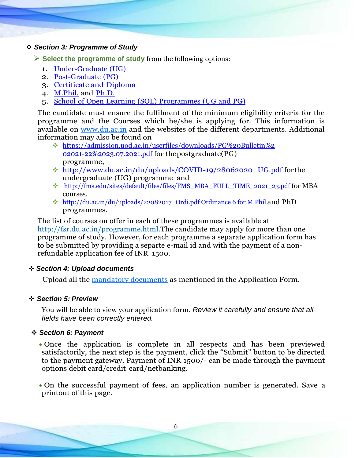#### ❖ *Section 3: Programme of Study*

➢ **Select the programme of study** from the following options:

- 1. [Under-Graduate](http://fsr.du.ac.in/pdf/UG%20PROGRAMME-1.pdf) (UG)
- 2. [Post-Graduate](http://fsr.du.ac.in/pdf/02032020_PG-Programme.pdf) (PG)
- 3. [Certificate and](http://fsr.du.ac.in/pdf/19032019_CERTIFICATE%2C%20DIPLOMA%2C%20ADVANCE%20DIPLOMA%20PROGRAMME.pdf) Diploma
- 4. [M.Phil.](http://fsr.du.ac.in/pdf/M.PHIL%20PROGRAMME.pdf) and [Ph.D.](http://fsr.du.ac.in/pdf/PH.D%20PROGRAMME.pdf)
- 5. School of Open Learning (SOL) [Programmes](https://sol.du.ac.in/) (UG and PG)

The candidate must ensure the fulfilment of the minimum eligibility criteria for the programme and the Courses which he/she is applying for. This information is available on [www.du.ac.in](http://www.du.ac.in/) and the websites of the different departments. Additional information may also be found on

- ❖ [https://admission.uod.ac.in/userfiles/downloads/PG%20Bulletin%2](https://admission.uod.ac.in/userfiles/downloads/PG%20Bulletin%202021-22%2023.07.2021.pdf) [02021-22%2023.07.2021.pdf](https://admission.uod.ac.in/userfiles/downloads/PG%20Bulletin%202021-22%2023.07.2021.pdf) for thepostgraduate(PG) programme,
- ❖ [http://www.du.ac.in/du/uploads/COVID-19/28062020\\_UG.pdf f](http://www.du.ac.in/du/uploads/COVID-19/28062020_UG.pdf)orthe undergraduate (UG) programme and
- ❖ [http://fms.edu/sites/default/files/files/FMS\\_MBA\\_FULL\\_TIME\\_2021\\_23.pdf](http://fms.edu/sites/default/files/files/FMS_MBA_FULL_TIME_2021_23.pdf) for MBA courses.
- ❖ [http://du.ac.in/du/uploads/22082017\\_Ordi.pdf Ordinance 6 for M.Phil](http://du.ac.in/du/uploads/22082017_Ordi.pdf%20Ordinance%206%20for%20M.Phil) and PhD programmes.

The list of courses on offer in each of these programmes is available at [http://fsr.du.ac.in/programme.html.](http://fsr.du.ac.in/programme.html)The candidate may apply for more than one programme of study. However, for each programme a separate application form has to be submitted by providing a separte e-mail id and with the payment of a nonrefundable application fee of INR 1500.

#### ❖ *Section 4: Upload documents*

Upload all the [mandatory documents](#page-9-0) as mentioned in the Application Form.

#### ❖ *Section 5: Preview*

You will be able to view your application form. *Review it carefully and ensure that all fields have been correctly entered.*

#### ❖ *Section 6: Payment*

• Once the application is complete in all respects and has been previewed satisfactorily, the next step is the payment, click the "Submit" button to be directed to the payment gateway. Payment of INR 1500/- can be made through the payment options debit card/credit card/netbanking.

• On the successful payment of fees, an application number is generated. Save a printout of this page.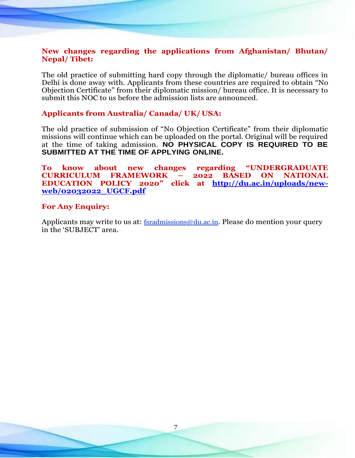#### **New changes regarding the applications from Afghanistan/ Bhutan/ Nepal/ Tibet:**

The old practice of submitting hard copy through the diplomatic/ bureau offices in Delhi is done away with. Applicants from these countries are required to obtain "No Objection Certificate" from their diplomatic mission/ bureau office. It is necessary to submit this NOC to us before the admission lists are announced.

#### **Applicants from Australia/ Canada/ UK/ USA:**

The old practice of submission of "No Objection Certificate" from their diplomatic missions will continue which can be uploaded on the portal. Original will be required at the time of taking admission. **NO PHYSICAL COPY IS REQUIRED TO BE SUBMITTED AT THE TIME OF APPLYING ONLINE.**

**To know about new changes regarding "UNDERGRADUATE CURRICULUM FRAMEWORK – 2022 BASED ON NATIONAL EDUCATION POLICY 2020" click at [http://du.ac.in/uploads/new](http://du.ac.in/uploads/new-web/02032022_UGCF.pdf)[web/02032022\\_UGCF.pdf](http://du.ac.in/uploads/new-web/02032022_UGCF.pdf)**

#### **For Any Enquiry:**

Applicants may write to us at: <u>[fsradmissions@du.ac.in](mailto:fsradmissions@du.ac.in)</u>. Please do mention your query in the 'SUBJECT' area.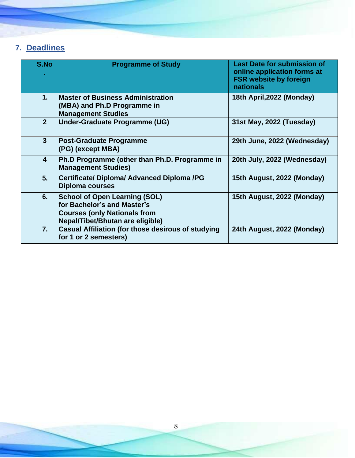# <span id="page-8-0"></span>**7. Deadlines**

| S.No                    | <b>Programme of Study</b>                                                                                                                      | <b>Last Date for submission of</b><br>online application forms at<br><b>FSR website by foreign</b><br>nationals |
|-------------------------|------------------------------------------------------------------------------------------------------------------------------------------------|-----------------------------------------------------------------------------------------------------------------|
| 1.                      | <b>Master of Business Administration</b><br>(MBA) and Ph.D Programme in<br><b>Management Studies</b>                                           | 18th April, 2022 (Monday)                                                                                       |
| 2 <sup>2</sup>          | <b>Under-Graduate Programme (UG)</b>                                                                                                           | 31st May, 2022 (Tuesday)                                                                                        |
| $\mathbf{3}$            | <b>Post-Graduate Programme</b><br>(PG) (except MBA)                                                                                            | 29th June, 2022 (Wednesday)                                                                                     |
| $\overline{\mathbf{4}}$ | Ph.D Programme (other than Ph.D. Programme in<br><b>Management Studies)</b>                                                                    | 20th July, 2022 (Wednesday)                                                                                     |
| 5 <sub>1</sub>          | <b>Certificate/ Diploma/ Advanced Diploma /PG</b><br><b>Diploma courses</b>                                                                    | 15th August, 2022 (Monday)                                                                                      |
| 6.                      | <b>School of Open Learning (SOL)</b><br>for Bachelor's and Master's<br><b>Courses (only Nationals from</b><br>Nepal/Tibet/Bhutan are eligible) | 15th August, 2022 (Monday)                                                                                      |
| 7.                      | <b>Casual Affiliation (for those desirous of studying</b><br>for 1 or 2 semesters)                                                             | 24th August, 2022 (Monday)                                                                                      |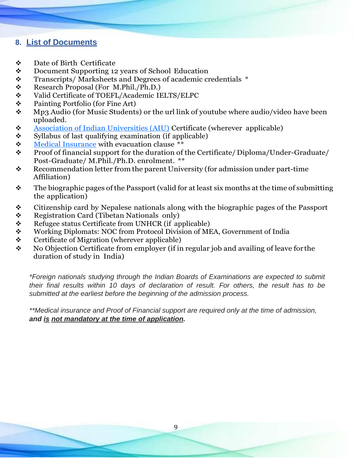# <span id="page-9-0"></span>**8. List of [Documents](mailto:ListofDocumentsreachtopreeti66@gmail.com)**

- ❖ Date of Birth Certificate
- ❖ Document Supporting 12 years of School Education
- ❖ Transcripts/ Marksheets and Degrees of academic credentials \*
- ❖ Research Proposal (For M.Phil./Ph.D.)
- ❖ Valid Certificate of TOEFL/Academic IELTS/ELPC
- ❖ Painting Portfolio (for Fine Art)
- ❖ Mp3 Audio (for Music Students) or the url link of youtube where audio/video have been uploaded.
- ❖ [Association of Indian Universities \(AIU\)](http://www.aiu.ac.in/index.asp) Certificate (wherever applicable)
- ❖ Syllabus of last qualifying examination (if applicable)
- ❖ Medical Insurance with evacuation clause \*\*
- ❖ Proof of financial support for the duration of the Certificate/ Diploma/Under-Graduate/ Post-Graduate/ M.Phil./Ph.D. enrolment. \*\*
- ❖ Recommendation letter from the parent University (for admission under part-time Affiliation)
- $\mathbf{\hat{P}}$  The biographic pages of the Passport (valid for at least six months at the time of submitting the application)
- ❖ Citizenship card by Nepalese nationals along with the biographic pages of the Passport
- ❖ Registration Card (Tibetan Nationals only)
- ❖ Refugee status Certificate from UNHCR (if applicable)
- ❖ Working Diplomats: NOC from Protocol Division of MEA, Government of India
- ❖ Certificate of Migration (wherever applicable)
- ❖ No Objection Certificate from employer (if in regular job and availing of leave for the duration of study in India)

*\*Foreign nationals studying through the Indian Boards of Examinations are expected to submit their final results within 10 days of declaration of result. For others, the result has to be submitted at the earliest before the beginning of the admission process.*

*\*\*Medical insurance and Proof of Financial support are required only at the time of admission, and is not mandatory at the time of application.*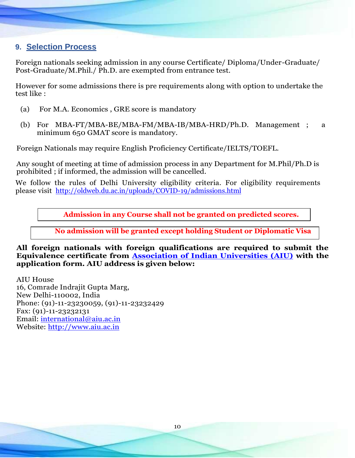# <span id="page-10-0"></span>**9. Selection Process**

Foreign nationals seeking admission in any course Certificate/ Diploma/Under-Graduate/ Post-Graduate/M.Phil./ Ph.D. are exempted from entrance test.

However for some admissions there is pre requirements along with option to undertake the test like :

- (a) For M.A. Economics , GRE score is mandatory
- (b) For MBA-FT/MBA-BE/MBA-FM/MBA-IB/MBA-HRD/Ph.D. Management ; a minimum 650 GMAT score is mandatory.

Foreign Nationals may require English Proficiency Certificate/IELTS/TOEFL.

Any sought of meeting at time of admission process in any Department for M.Phil/Ph.D is prohibited ; if informed, the admission will be cancelled.

We follow the rules of Delhi University eligibility criteria. For eligibility requirements please visit <http://oldweb.du.ac.in/uploads/COVID-19/admissions.html>

**Admission in any Course shall not be granted on predicted scores.**

**No admission will be granted except holding Student or Diplomatic Visa**

**All foreign nationals with foreign qualifications are required to submit the Equivalence certificate from [Association of Indian Universities \(AIU\)](http://www.aiu.ac.in/) with the application form. AIU address is given below:**

AIU House 16, Comrade Indrajit Gupta Marg, New Delhi-110002, India Phone: (91)-11-23230059, (91)-11-23232429 Fax: (91)-11-23232131 Email: [international@aiu.ac.in](mailto:international@aiu.ac.in) Website: [http://www.aiu.ac.in](http://www.aiu.ac.in/)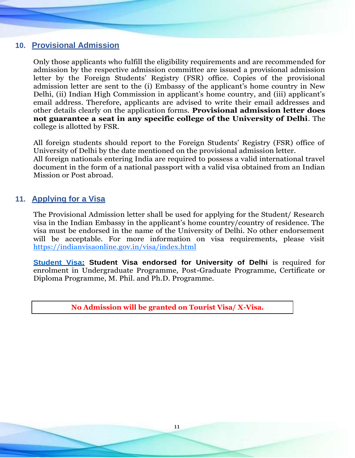## <span id="page-11-0"></span>**10. Provisional Admission**

Only those applicants who fulfill the eligibility requirements and are recommended for admission by the respective admission committee are issued a provisional admission letter by the Foreign Students' Registry (FSR) office. Copies of the provisional admission letter are sent to the (i) Embassy of the applicant's home country in New Delhi, (ii) Indian High Commission in applicant's home country, and (iii) applicant's email address. Therefore, applicants are advised to write their email addresses and other details clearly on the application forms. **Provisional admission letter does not guarantee a seat in any specific college of the University of Delhi**. The college is allotted by FSR.

All foreign students should report to the Foreign Students' Registry (FSR) office of University of Delhi by the date mentioned on the provisional admission letter. All foreign nationals entering India are required to possess a valid international travel document in the form of a national passport with a valid visa obtained from an Indian Mission or Post abroad.

# <span id="page-11-1"></span>**11. Applying for a Visa**

The Provisional Admission letter shall be used for applying for the Student/ Research visa in the Indian Embassy in the applicant's home country/country of residence. The visa must be endorsed in the name of the University of Delhi. No other endorsement will be acceptable. For more information on visa requirements, please visit <https://indianvisaonline.gov.in/visa/index.html>

**[Student Visa:](https://boi.gov.in/content/student-visa-s) Student Visa endorsed for University of Delhi** is required for enrolment in Undergraduate Programme, Post-Graduate Programme, Certificate or Diploma Programme, M. Phil. and Ph.D. Programme.

**No Admission will be granted on Tourist Visa/ X-Visa.**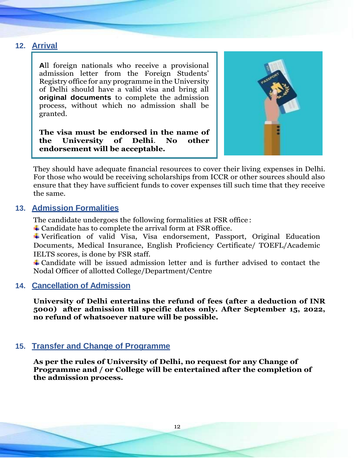# <span id="page-12-0"></span>**12. Arrival**

**A**ll foreign nationals who receive a provisional admission letter from the Foreign Students' Registry office for any programme in the University of Delhi should have a valid visa and bring all **original documents** to complete the admission process, without which no admission shall be granted.

**The visa must be endorsed in the name of the University of Delhi**. **No other endorsement will be acceptable.**



They should have adequate financial resources to cover their living expenses in Delhi. For those who would be receiving scholarships from ICCR or other sources should also ensure that they have sufficient funds to cover expenses till such time that they receive the same.

# <span id="page-12-1"></span>**13. Admission Formalities**

The candidate undergoes the following formalities at FSR office :

Candidate has to complete the arrival form at FSR office.

Verification of valid Visa, Visa endorsement, Passport, Original Education Documents, Medical Insurance, English Proficiency Certificate/ TOEFL/Academic IELTS scores, is done by FSR staff.

Candidate will be issued admission letter and is further advised to contact the Nodal Officer of allotted College/Department/Centre

# <span id="page-12-2"></span>**14. Cancellation of Admission**

**University of Delhi entertains the refund of fees (after a deduction of INR 5000) after admission till specific dates only. After September 15, 2022, no refund of whatsoever nature will be possible.**

# **15. Transfer and Change of Programme**

**As per the rules of University of Delhi, no request for any Change of Programme and / or College will be entertained after the completion of the admission process.**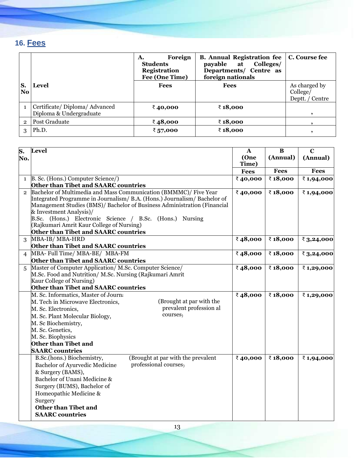# <span id="page-13-0"></span>**16. Fees**

|              |                                                         | Foreign<br>А.<br><b>Students</b><br><b>Registration</b><br>Fee (One Time) | <b>B.</b> Annual Registration fee   C. Course fee<br>Colleges/<br>payable<br>at<br>Departments/ Centre as<br>foreign nationals |                                              |
|--------------|---------------------------------------------------------|---------------------------------------------------------------------------|--------------------------------------------------------------------------------------------------------------------------------|----------------------------------------------|
| S.<br>No.    | <b>Level</b>                                            | <b>Fees</b>                                                               | <b>Fees</b>                                                                                                                    | As charged by<br>College/<br>Deptt. / Centre |
|              | Certificate/Diploma/Advanced<br>Diploma & Undergraduate | ₹40,000                                                                   | ₹18,000                                                                                                                        |                                              |
| $\mathbf{2}$ | Post Graduate                                           | ₹48,000                                                                   | ₹18,000                                                                                                                        |                                              |
| 3            | Ph.D.                                                   | ₹ 57,000                                                                  | ₹18,000                                                                                                                        |                                              |

| S.             | <b>Level</b>                                                                                                                                                                                                                                                                                                                                                 | $\mathbf{A}$  | $\bf{B}$    | $\overline{c}$ |
|----------------|--------------------------------------------------------------------------------------------------------------------------------------------------------------------------------------------------------------------------------------------------------------------------------------------------------------------------------------------------------------|---------------|-------------|----------------|
| No.            |                                                                                                                                                                                                                                                                                                                                                              | (One<br>Time) | (Annual)    | (Annual)       |
|                |                                                                                                                                                                                                                                                                                                                                                              | <b>Fees</b>   | <b>Fees</b> | <b>Fees</b>    |
| $\mathbf{1}$   | B. Sc. (Hons.) Computer Science/)                                                                                                                                                                                                                                                                                                                            | ₹40,000       | ₹18,000     | ₹1,94,000      |
|                | Other than Tibet and SAARC countries                                                                                                                                                                                                                                                                                                                         |               |             |                |
| $\overline{2}$ | Bachelor of Multimedia and Mass Communication (BMMMC)/ Five Year<br>Integrated Programme in Journalism/ B.A. (Hons.) Journalism/ Bachelor of<br>Management Studies (BMS)/ Bachelor of Business Administration (Financial<br>& Investment Analysis)/<br>B.Sc. (Hons.) Electronic Science / B.Sc. (Hons.) Nursing<br>(Rajkumari Amrit Kaur College of Nursing) | ₹40,000       | ₹18,000     | ₹1,94,000      |
|                | Other than Tibet and SAARC countries                                                                                                                                                                                                                                                                                                                         |               |             |                |
| 3              | MBA-IB/MBA-HRD                                                                                                                                                                                                                                                                                                                                               | ₹48,000       | ₹18,000     | ₹ $3,24,000$   |
| 4              | Other than Tibet and SAARC countries<br>MBA- Full Time/ MBA-BE/ MBA-FM<br>Other than Tibet and SAARC countries                                                                                                                                                                                                                                               | ₹48,000       | ₹18,000     | ₹ $3,24,000$   |
| 5              | Master of Computer Application/M.Sc. Computer Science/<br>M.Sc. Food and Nutrition/ M.Sc. Nursing (Rajkumari Amrit<br>Kaur College of Nursing)<br>Other than Tibet and SAARC countries                                                                                                                                                                       |               | ₹18,000     | ₹1,29,000      |
|                | M. Sc. Informatics, Master of Journa<br>(Brought at par with the<br>M. Tech in Microwave Electronics,<br>prevalent profession al<br>M. Sc. Electronics,<br>courses <sub>)</sub><br>M. Sc. Plant Molecular Biology,<br>M. Sc Biochemistry,<br>M. Sc. Genetics,<br>M. Sc. Biophysics<br>Other than Tibet and<br><b>SAARC</b> countries                         | ₹48,000       | ₹18,000     | ₹1,29,000      |
|                | (Brought at par with the prevalent<br>B.Sc.(hons.) Biochemistry,<br>professional courses<br>Bachelor of Ayurvedic Medicine<br>& Surgery (BAMS),<br>Bachelor of Unani Medicine &<br>Surgery (BUMS), Bachelor of<br>Homeopathic Medicine &<br>Surgery<br><b>Other than Tibet and</b><br><b>SAARC</b> countries                                                 | ₹40,000       | ₹18,000     | ₹1,94,000      |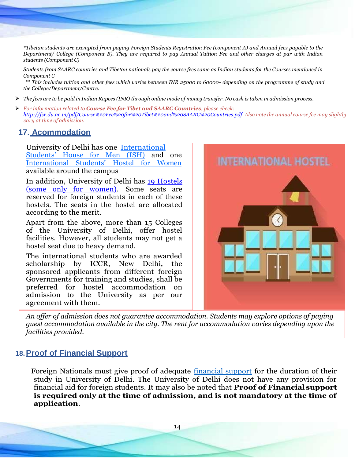*\*Tibetan students are exempted from paying Foreign Students Registration Fee (component A) and Annual fees payable to the Department/ College (Component B). They are required to pay Annual Tuition Fee and other charges at par with Indian students (Component C)*

*Students from SAARC countries and Tibetan nationals pay the course fees same as Indian students for the Courses mentioned in Component C*

*\*\* This includes tuition and other fees which varies between INR 25000 to 60000- depending on the programme of study and the College/Department/Centre.*

- $\triangleright$  The fees are to be paid in Indian Rupees (INR) through online mode of money transfer. No cash is taken in admission process.
- ➢ *For information related to Course Fee for Tibet and SAARC Countries, please check[:](http://fsr.du.ac.in/pdf/Course%20Fee%20for%20Tibet%20and%20SAARC%20Countries.pdf) [http://fsr.du.ac.in/pdf/Course%20Fee%20for%20Tibet%20and%20SAARC%20Countries.pdf.](http://fsr.du.ac.in/pdf/Course%20Fee%20for%20Tibet%20and%20SAARC%20Countries.pdf) Also note the annual course fee may slightly vary at time of admission.*

#### **17. Acommodation**

University of Delhi has one [International](http://ish.du.ac.in/) [Students'](http://ish.du.ac.in/) House for Men [\(ISH\)](http://ish.du.ac.in/) and one [International](http://ishw.du.ac.in/admissions.html) Students' Hostel for [Women](http://ishw.du.ac.in/admissions.html) available around the campus

In addition, University of Delhi has 19 [Hostels](http://www.du.ac.in/ducc/index.php?page=Hostels-at-University-of-Delhi) [\(some only for women\).](http://www.du.ac.in/ducc/index.php?page=Hostels-at-University-of-Delhi) Some seats are reserved for foreign students in each of these hostels. The seats in the hostel are allocated according to the merit.

Apart from the above, more than 15 Colleges of the University of Delhi, offer hostel facilities. However, all students may not get a hostel seat due to heavy demand.

The international students who are awarded scholarship by ICCR, New Delhi, the sponsored applicants from different foreign Governments for training and studies, shall be preferred for hostel accommodation on admission to the University as per our agreement with them.



*An offer of admission does not guarantee accommodation. Students may explore options of paying guest accommodation available in the city. The rent for accommodation varies depending upon the facilities provided.*

#### **18.Proof of Financial Support**

Foreign Nationals must give proof of adequate [financial support](http://fsr.du.ac.in/pdf/18032019-Financial%20Support.pdf) for the duration of their study in University of Delhi. The University of Delhi does not have any provision for financial aid for foreign students. It may also be noted that **Proof of Financial support is required only at the time of admission, and is not mandatory at the time of application**.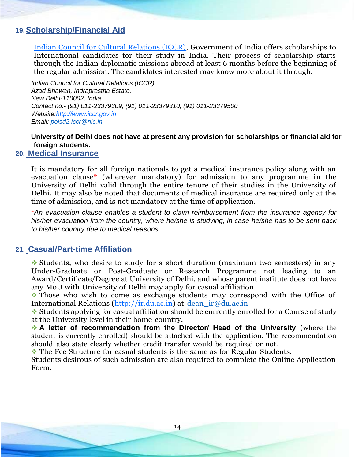# <span id="page-15-0"></span>**19.Scholarship/Financial Aid**

[Indian Council for Cultural Relations \(ICCR\),](http://www.iccr.gov.in/) Government of India offers scholarships to International candidates for their study in India. Their process of scholarship starts through the Indian diplomatic missions abroad at least 6 months before the beginning of the regular admission. The candidates interested may know more about it through:

*Indian Council for Cultural Relations (ICCR) Azad Bhawan, Indraprastha Estate, New Delhi-110002, India Contact no.- (91) 011-23379309, (91) 011-23379310, (91) 011-23379500 Websit[e:http://www.iccr.gov.in](http://www.iccr.gov.in/) Email: [poisd2.iccr@nic.in](mailto:poisd2.iccr@nic.in)*

### **University of Delhi does not have at present any provision for scholarships or financial aid for foreign students.**

#### **20. Medical Insurance**

It is mandatory for all foreign nationals to get a medical insurance policy along with an evacuation clause\* (wherever mandatory) for admission to any programme in the University of Delhi valid through the entire tenure of their studies in the University of Delhi. It may also be noted that documents of medical insurance are required only at the time of admission, and is not mandatory at the time of application.

\**An evacuation clause enables a student to claim reimbursement from the insurance agency for his/her evacuation from the country, where he/she is studying, in case he/she has to be sent back to his/her country due to medical reasons.*

#### **21. Casual/Part-time Affiliation**

❖ Students, who desire to study for a short duration (maximum two semesters) in any Under-Graduate or Post-Graduate or Research Programme not leading to an Award/Certificate/Degree at University of Delhi, and whose parent institute does not have any MoU with University of Delhi may apply for casual affiliation.

❖ Those who wish to come as exchange students may correspond with the Office of International Relations [\(http://ir.du.ac.in\)](http://ir.du.ac.in/) at [dean\\_ir@du.ac.in](mailto:dean_ir@du.ac.in)

❖ Students applying for casual affiliation should be currently enrolled for a Course of study at the University level in their home country.

❖ **A letter of recommendation from the Director/ Head of the University** (where the student is currently enrolled) should be attached with the application. The recommendation should also state clearly whether credit transfer would be required or not.

❖ The Fee Structure for casual students is the same as for Regular Students.

Students desirous of such admission are also required to complete the Online Application Form.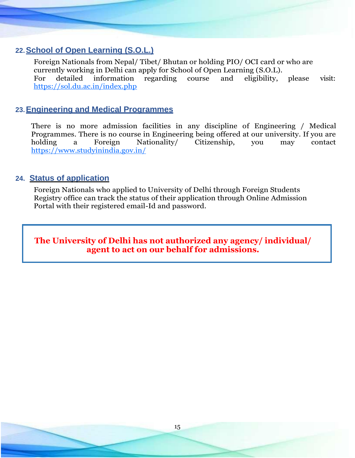# <span id="page-16-0"></span>**22.School of Open Learning (S.O.L.)**

Foreign Nationals from Nepal/ Tibet/ Bhutan or holding PIO/ OCI card or who are currently working in Delhi can apply for School of Open Learning (S.O.L). For detailed information regarding course and eligibility, please visit: <https://sol.du.ac.in/index.php>

## **23.Engineering and Medical Programmes**

There is no more admission facilities in any discipline of Engineering / Medical Programmes. There is no course in Engineering being offered at our university. If you are holding a Foreign Nationality/ Citizenship, you may contact <https://www.studyinindia.gov.in/>

## **24. Status of application**

Foreign Nationals who applied to University of Delhi through Foreign Students Registry office can track the status of their application through Online Admission Portal with their registered email-Id and password.

**The University of Delhi has not authorized any agency/ individual/ agent to act on our behalf for admissions.**